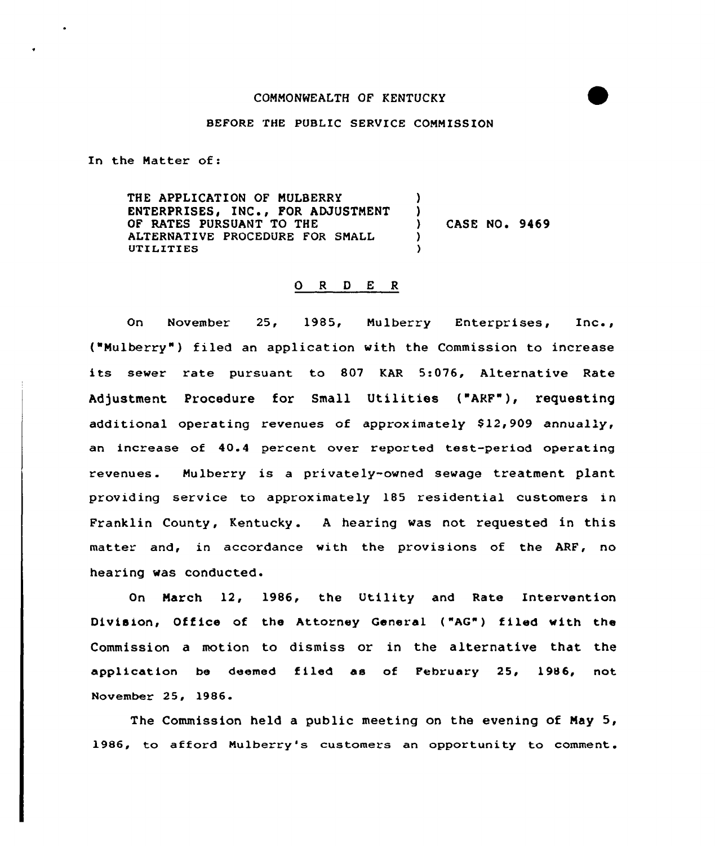## COMMONWEALTH OF KENTUCKY

# BEFORE THE PUBLIC SERVICE COMMISSION

In the Matter of:

THE APPLICATION OF MULBERRY ENTERPRISES, INC., FOR ADJUSTMENT OF RATES PURSUANT TO THE ALTERNATIVE PROCEDURE FOR SMALL UTILITIES ) )<br>) ) CASE NO <sup>~</sup> 9469 ) )

#### 0 <sup>R</sup> <sup>D</sup> E R

On November 25, 1985, Mulberry Enterprises, Inc., ("Mulberry" ) filed an application with the Commission to increase its sewer rate pursuant to 807 KAR 5:076, Alternative Rate Adjustment Procedure for Small Utilities ("ARF"), requesting additional operating revenues of approximately  $$12,909$  annually, an increase of 40.4 percent over reported test-period operating revenues. Mulberry is a privately-owned sewage treatment plant providing service to approximately 185 residential customers in Franklin County, Kentucky . <sup>A</sup> hearing was not requested in this matter and, in accordance with the provisions of the ARF, no hearing was conducted.

On March 12, 1986, the Utility and Rate Intervention Division, Office of the Attorney General ("AG") filed with the Commission a motion to dismiss or in the alternative that the application be deemed filed as of February 25, 1986, not November 25, 1986.

The Commission held a public meeting on the evening of May 5, 1986, to afford Nulberry's customers an opportunity to comment.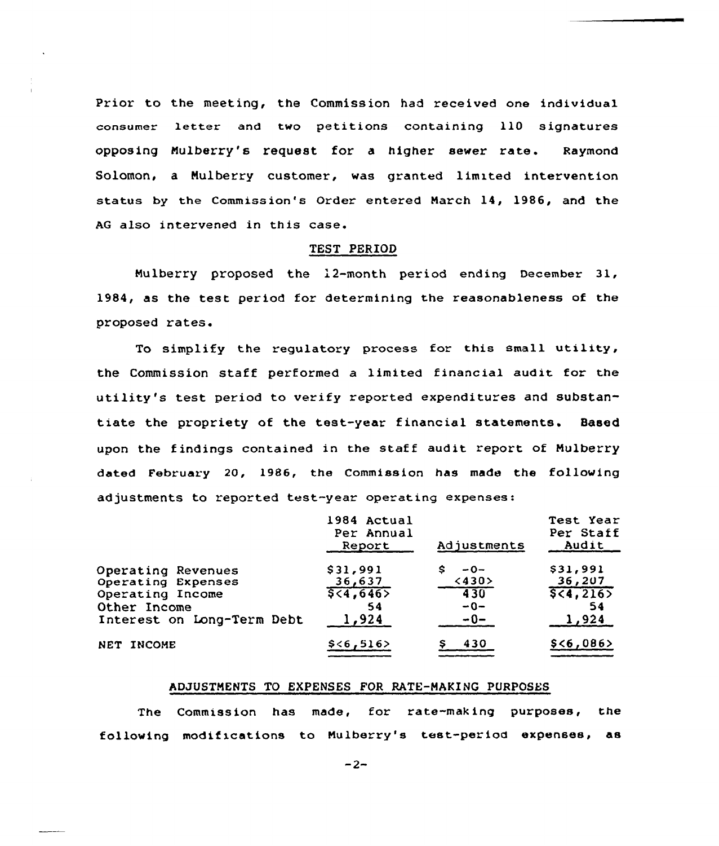Prior to the meeting, the Commission had received one individual consUmer letter and two petitions containing 110 signatures opposing Mulberry's request for <sup>a</sup> higher sewer rate. Raymond Solomon, a Mulberry customer, was granted limited intervention status by the Commission's Order entered March 14, 1986, and the AG aLso intervened in this case.

#### TEST PERIOD

Mulberry proposed the 12-month period ending December 31, 1984, as the test period for determining the reasonableness of the proposed rates.

To simplify the regulatory process for this small utility, the Commission staff performed a limited financial audit for the utility's test period to verify reported expenditures and substantiate the propriety of the test-year financial statements. Based upon the findings contained in the staff audit report of Mulberry dated February 20, 1986, the Commission has made the following adjustments to reported test-year operating expenses:

|                            | 1984 Actual<br>Per Annual<br>Report | Adjustments | Test Year<br>Per Staff<br>Audit |
|----------------------------|-------------------------------------|-------------|---------------------------------|
| Operating Revenues         | \$31,991                            | $-0-$       | \$31,991                        |
| Operating Expenses         | 36,637                              | <430>       | 36,207                          |
| Operating Income           | 5,4,646                             | 430         | 5(4, 216)                       |
| Other Income               | 54                                  | $-0-$       | 54                              |
| Interest on Long-Term Debt | 1,924                               | $-0-$       | 1,924                           |
| NET INCOME                 | \$ < 6, 516>                        | 430         | $$<\frac{6}{9}$ , 086>          |

## ADJUSTMENTS TO EXPENSES FOR RATE-MAKING PURPOSES

The Commission has made, for rate-making purposes, the following modifications to Mulberry's test-period expenses, as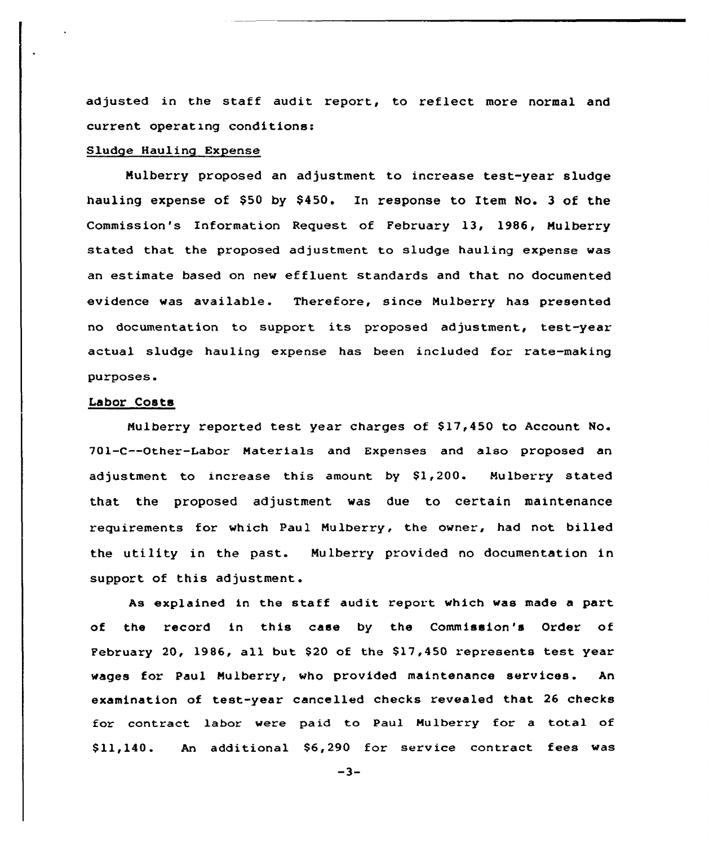adjusted in the staff audit report, to reflect more normal and current operating conditions:

#### Sludge Hauling Expense

Mulberry proposed an adjustment to increase test-year sludge hauling expense of \$50 by \$450. In response to Item No. 3 of the Commission's Information Request of February 13, 1986, Mulberry stated that the proposed adjustment to sludge hauling expense was an estimate based on new effluent standards and that no documented evidence was available. Therefore, since Mulberry has presented no documentation to support its proposed adjustment, test-year actual sludge hauling expense has been included for rate-making purposes.

# Labor Costs

Mulberry reported test year charges of \$ 17,450 to Account No. 701-C--Other-Labor Materials and Expenses and also proposed an adjustment to increase this amount by  $$1,200$ . Mulberry stated that the proposed adjustment was due to certain maintenance requirements for which Paul Mulberry, the owner, had not billed the utility in the past. Mulberry provided no documentation in support of this adjustment.

As explained in the staff audit report which was made a paxt of the record in this case by the Commission's Order of February 20, 1986, all but  $$20$  of the  $$17,450$  represents test year wages for Paul Mulberry, who provided maintenance services. An examination of test-year cancelled checks revealed that 26 checks for contract labor were paid to Paul Mulberry for a total of Sll 140. An additional \$6,290 for service contract fees was

 $-3-$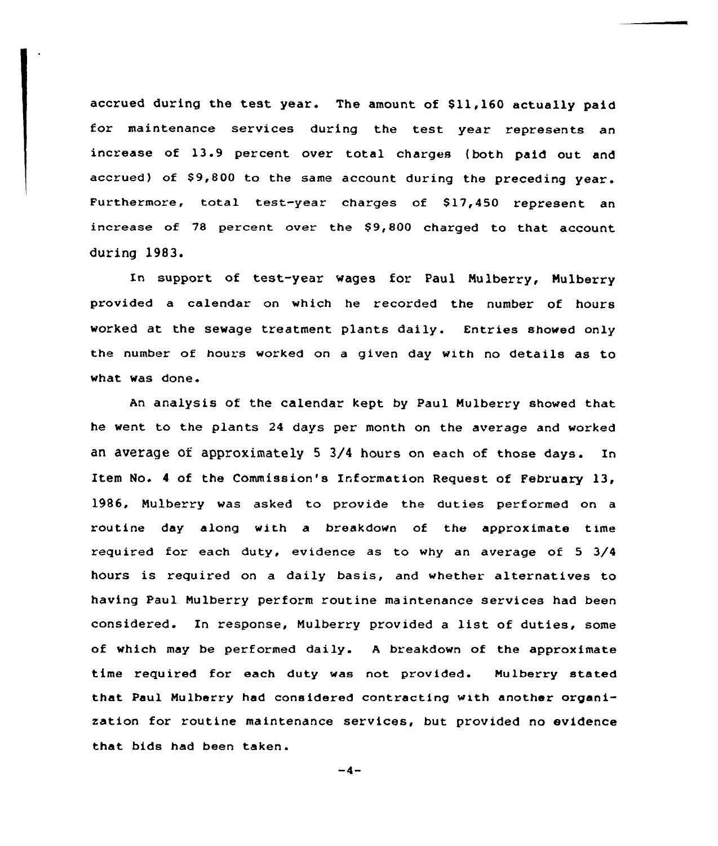accrued during the test year. The amount of \$11,160 actually paid for maintenance services during the test year represents an increase of 13.9 percent over total charges (both paid out and accrued) of  $$9,800$  to the same account during the preceding year. Furthermore, total test-year charges of \$17,450 represent an increase of 78 percent over the  $$9,800$  charged to that account during 1983.

In support of test-year wages for Paul Mulberry, Mulberry provided a calendar on which he recorded the number of hours worked at the sewage treatment plants daily. Entries showed only the number of hours worked on a given day with no details as to what was done.

An analysis of the calendar kept by Paul Mulberry showed that he went to the plants 24 days per month on the average and worked an average of. approximately <sup>5</sup> 3/4 hours on each of those days. In Item No» <sup>4</sup> of the Commission's Information Request of February 13, 1986, Nulberry was asked to provide the duties performed cn a routine day along with a breakdown of the approximate time required for each duty, evidence as to why an average of 5 3/4 hours is required on a daily basis, and whether alternatives to having Paul Nulberry perform routine maintenance services had been considered. In response, Nulberry provided <sup>a</sup> list of duties, some of which may be performed daily. <sup>A</sup> breakdown of the approximate time required for each duty was not provided. Nulberry stated that Paul Nulherry had considered contracting with another organisation for routine maintenance services, but provided no evidence that bids had been taken.

 $-4-$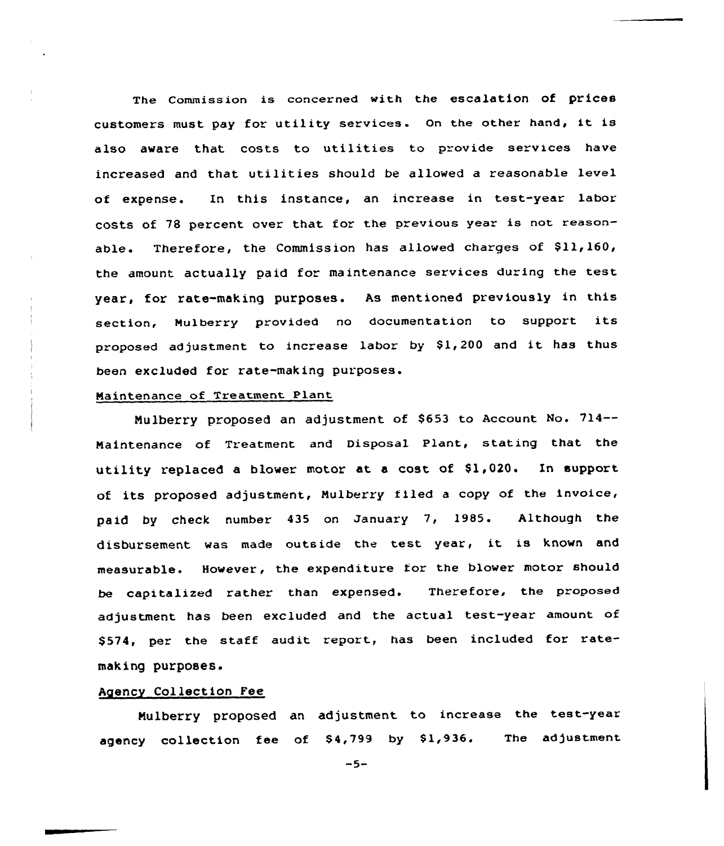The commission is concerned with the escalation of prices customers must pay for utility services. On the other hand, it is also aware that costs to utilities to provide services have increased and that utilities should be allowed <sup>a</sup> reasonable level of expense. In this instance, an increase in test-year labor costs of <sup>78</sup> percent over that for the previous year is not reasonable. Therefore, the Commission has allowed charges of \$11,160, the amount actually paid for maintenance services during the test year, for rate-making purposes. As mentioned previously in this section, Mulberry provided no documentation to support its proposed adjustment to increase labor by \$1,200 and it has thus been excluded for rate-making purposes.

### Maintenance of Treatment Plant

Mulberry proposed an adjustment of \$653 to Account No. 714--Maintenance of Treatment and Disposal Plant, stating that the utility replaced a blower motor at a cost of \$1,020. In support of its proposed adjustment, Mulberry filed <sup>a</sup> copy of the invoice, paid by check number 435 on January 7, 1985. Although the disbursement was made outside the test year, it is known and measurable. However, the expenditure for the blower motor should be capitalized rather than expensed. Therefore, the proposed adjustment has been excluded and the actual test-year amount of \$574, per the staff audit report, has been included for ratemaking purposes.

## Agency Collection Fee

Mulberry proposed an adjustment to increase the test-year agency collection fee of \$4,799 by \$1,936. The adjustment

 $-5-$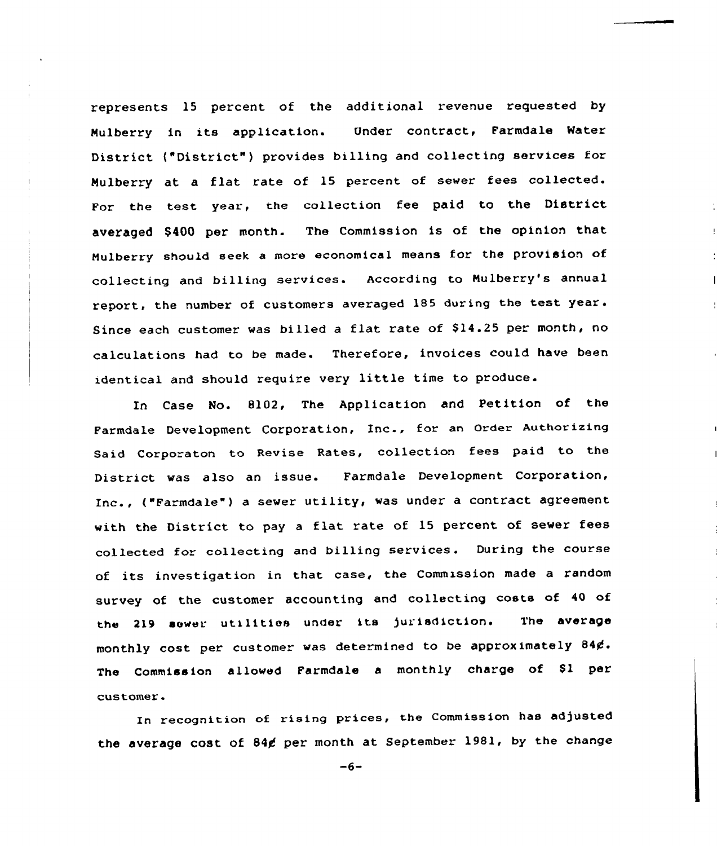represents 15 percent of the additional revenue requested by Mulberry in its application. Under contract, Farmdale Water District ("District" ) provides billing and collecting services for Mulberry at <sup>a</sup> flat rate of 15 percent of sewer fees collected. For the test year, the collection fee paid to the District averaged \$400 per month. The Commission is of the opinion that Mulberry should seek <sup>a</sup> more economical means for the provision of collecting and billing services. According to Mulberry's annual report, the number of customers averaged 185 during the test year. Since each customer was billed a flat rate of \$14.25 per month, no calculations had to be made. Therefore, invoices could have been identical and should require very little time to produce.

In Case No. 8102, The Application and Petition of the Farmdale Development Corporation, Inc., for an order Authorizing Said Corporaton to Revise Rates, collection fees paid to the District was also an issue. Farmdale Development Corporation, Inc., ("Farmdale"} <sup>a</sup> sewer utility, was under <sup>a</sup> contract agreement with the District to pay <sup>a</sup> flat rate of 15 percent of sewer fees collected for collecting and billing services. During the course of its investigation in that case, the Commission made a random survey of the customer accounting and collecting costs of <sup>40</sup> of the <sup>219</sup> sower utilitios under its jurisdiction. The average monthly cost per customer was determined to be approximately 844. The Commission allowed Farmdale a monthly charge of \$1 per customer.

In recognition ef rising prices, the Commission has adjusted the average cost of 84¢ per month at September 1981, by the change

 $-6-$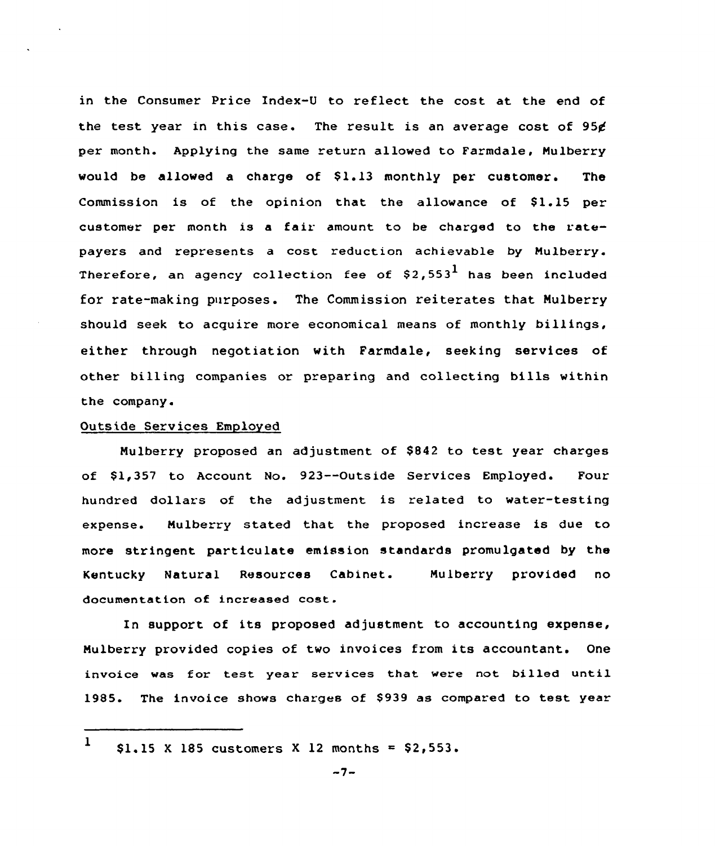in the Consumer Price Index-U to reflect the cost at the end of the test year in this case. The result is an average cost of 95¢ per month. Applying the same return allowed to Farmdale, Nulberry would be allowed a charge of \$1.13 monthly per customer. The Commission is of the opinion that the allowance of  $$1.15$  per customer per month is a fair amount to be charged to the ratepayers and represents a cost reduction achievable by Mulberry. Therefore, an agency collection fee of  $$2,553<sup>1</sup>$  has been included for rate-making purposes. The Commission reiterates that Nulberry should seek to acquire more economical means of monthly billings, either through negotiation with Farmdale, seeking services of other billing companies or preparing and collecting bills within the company.

# Outside Services Employed

Mulberry proposed an adjustment of \$842 to test year charges of \$1,357 to Account No. 923--Outside Services Employed. Four hundred dollars of the adjustment is related to water-testing expense. Nulberry stated that the proposed increase is due to more stringent particulate emission standards promulgated by the Kentucky Natural Resources Cabinet. Mulberry provided no documentation of increased cost.

In support of its proposed adjustment to accounting expense, Nulberry provided copies of two invoices from its accountant. One invoice was for test year services that. were not billed until 1985. The invoice shows charges of \$939 as compared to test year

<sup>1</sup>  $$1.15$  X 185 customers X 12 months =  $$2,553$ .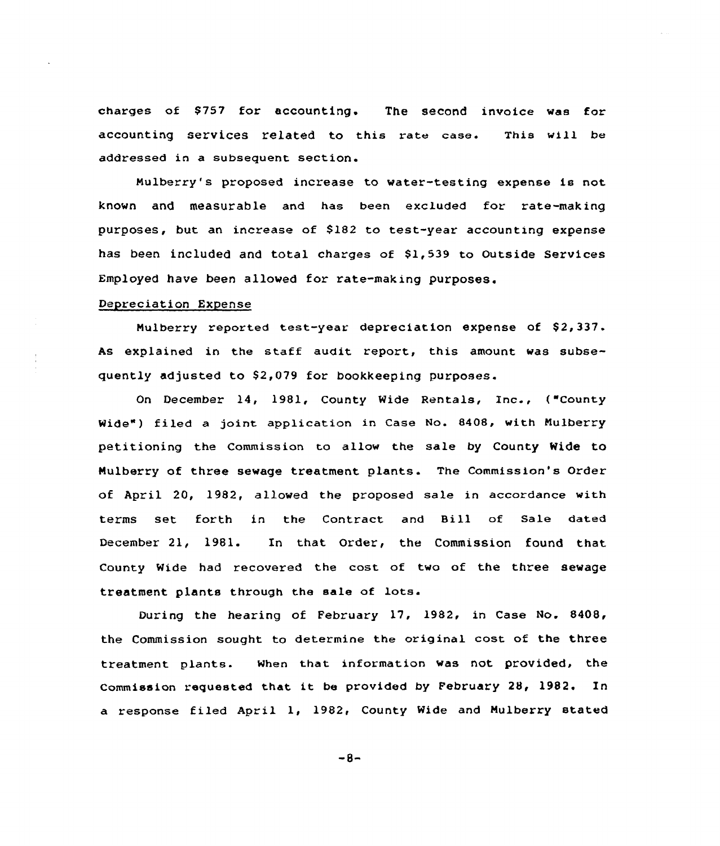charges of \$757 for accounting. The second invoice was for accounting services related to this rate case. This will be addressed in a subsequent section.

Nulberry's proposed increase to water-testing expense is not known and measurable and has been excluded for rate-making purposes, but an increase of \$182 to test-year accounting expense has been included and total charges of \$1,539 to Outside Services Employed have been allowed for rate-making purposes.

## Depreciation Expense

Mulberry reported test-year depreciation expense of \$2,337. As explained in the staff audit report, this amount was subsequently adjusted to \$2,079 for bookkeeping purposes.

On December 14, 1981, County Wide Rentals, Inc., ("County Wide") filed a joint application in Case No. 8408, with Mulberry petitioning the Commission to allow the sale by County Wide to Mulberry of three sewage treatment plants. The Commission's Order of April 20, 1982, allowed the proposed sale in accordance with terms set forth in the Contract and Bill of Sale dated December 21, 1981. In that order, the Commission found that County Wide had recovered the cost of two of the three sewage treatment plants through the sale of lots.

During the hearing of February 17, 1982, in Case No. 8408, the Commission sought to determine the original cost of the three treatment plants. When that information was not provided, the Commission requested that it be provided by February 28, 1982. In a response filed April 1, 1982, County Wide and Mulberry stated

 $-8-$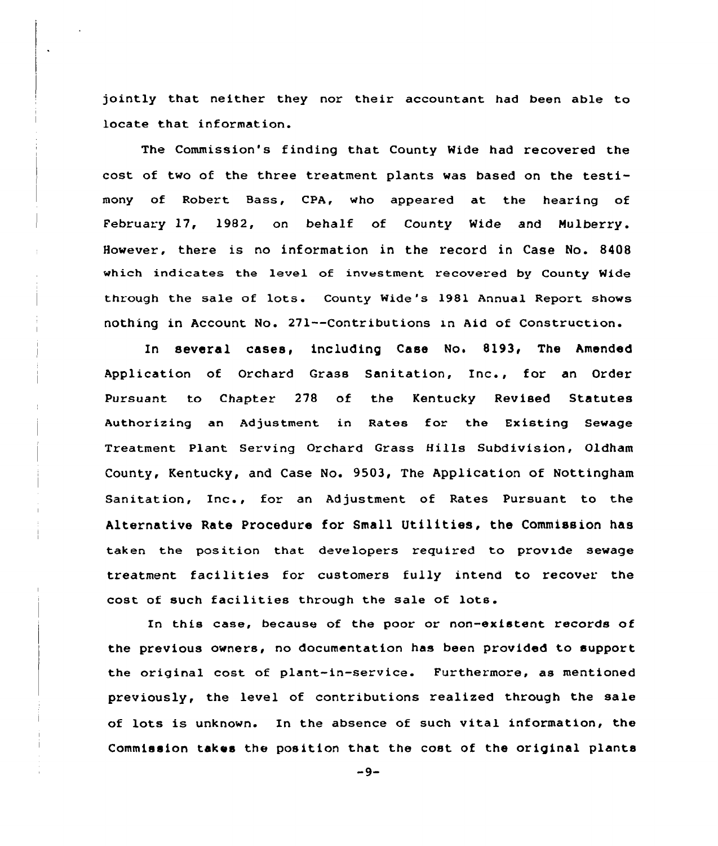jointly that neither they nor their accountant had been able to locate that information.

The Commission's finding that County Wide had recovered the cost of two of the three treatment plants was based on the testimony of Robert Bass, CPA, who appeared at the hearing of February 17, 1982, on behalf of County Wide and Mulberry. However, there is no information in the record in Case No. 8408 which indicates the level of investment recovered by County Wide through the sale of lots. County Wide's 1981 Annual Report shows nothing in Account No. 271--Contributions in Aid of Construction.

In several cases, including Case No. 8193, The Amended Application of Orchard Grass Sanitation, Inc., for an Order Pursuant to Chapter 278 of the Kentucky Revised St<mark>atute</mark> Authorizing an Adjustment in Rates for the Existing Sewage Txeatment Plant Serving Orchard Grass Hills Subdivision, Oldham County, Kentucky, and Case No. 9503, The Application of Nottingham Sanitation, Inc., for an Adjustment of Rates Pursuant to the Alternative Rate Procedure for Small Utilities, the Commission has taken the position that developers required to provide sewage treatment facilities for customers fully intend to recover the cost of such facilities through the sale of lots.

In this case, because of the poor or non-existent records of the previous owners, no documentation has been provided to support the original cost of plant-in-service. Furthermore, as mentioned previously, the level of contributions realized through the sale of lots is unknown. In the absence of such vital information, the Commission takes the position that the cost of the original plants

 $-9-$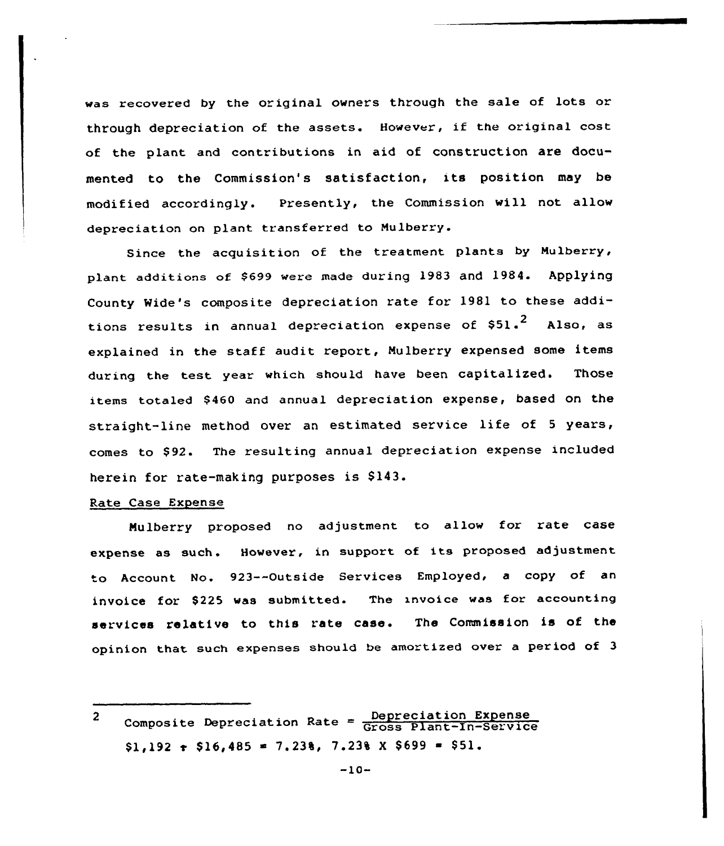was recovered by the original owners through the sale of lots or through depreciation of the assets. However, if the original cost of the plant and contributions in aid of construction are documented to the Commission's satisfaction, its position may be modified accordingly. Presently, the Commission will not allow depreciation on plant transferred to Mulberry.

Since the acquisition of the treatment plants by Mulberry, plant additions of \$699 were made during 1983 and 1984. Applying County Wide's composite depreciation rate for 1981 to these additions results in annual depreciation expense of  $$51.^2$  Also, as explained in the staff audit report, Mulberry expensed some items during the test year which should have been capitalized. Those items totaled \$460 and annual depreciation expense, based on the straight-line method over an estimated service life of <sup>5</sup> years, comes to \$92. The resulting annual depreciation expense included herein for rate-making purposes is \$143.

# Rate Case Expense

Mulberry proposed no adjustment to allow for rate case expense as such. However, in support of its proposed adjustment to Account No. 923--Outside Services Employed, <sup>a</sup> copy of an invoice for \$225 was submitted. The invoice was for accounting services relative to this rate case. The Commission is of the opinion that such expenses should be amortized over a period of 3

Composite Depreciation Rate = Depreciation Expense  $\overline{2}$  $$1,192 \text{ } \cdot \text{ } $16,485 \text{ } \cdot \text{ } 7,238 \text{ } \cdot \text{ } 7.238 \text{ } \times \text{ } $699 \text{ } \cdot \text{ } $51.$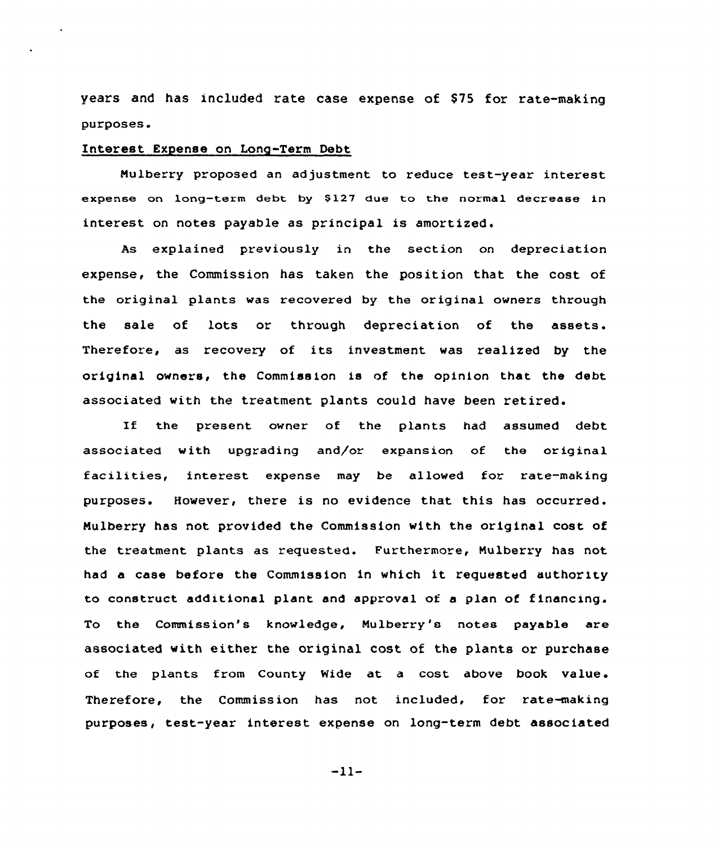years and has included rate case expense of \$75 for rate-making purposes.

# Interest Expense on Long-Term Debt

Nulberry proposed an adjustment to reduce test-year interest expense on long-term debt by \$127 due to the normal decrease in interest on notes payable as principal is amortized.

As explained previously in the section on depreciation expense, the Commission has taken the position that the cost of the original plants was recovered by the original owners through the sale of lots or through depreciation of the assets. Therefore, as recovery of its investment was realized by the original owners, the Commission is nf the opinion that the debt associated with the treatment plants could have been retired.

If the present owner of the plants had assumed debt associated with upgrading and/or expansion of the original facilities, interest expense may be allowed for rate-making purposes. However, there is no evidence that this has occurred. Nulberry has not provided the Commission with the original cost of the treatment plants as requested. Furthermore, Mulberry has not had <sup>a</sup> case before the commission in which it requested authority to construct additional plant and approval ot a plan of financing. To the Commission's knowledge, Nulberry's notes payable are associated with either the original cost of the plants or purchase of the plants from County Wide at a cost above book value. Therefore, the Commission has not included, for rate-making purposes, test-year interest expense on long-term debt associated

 $-11-$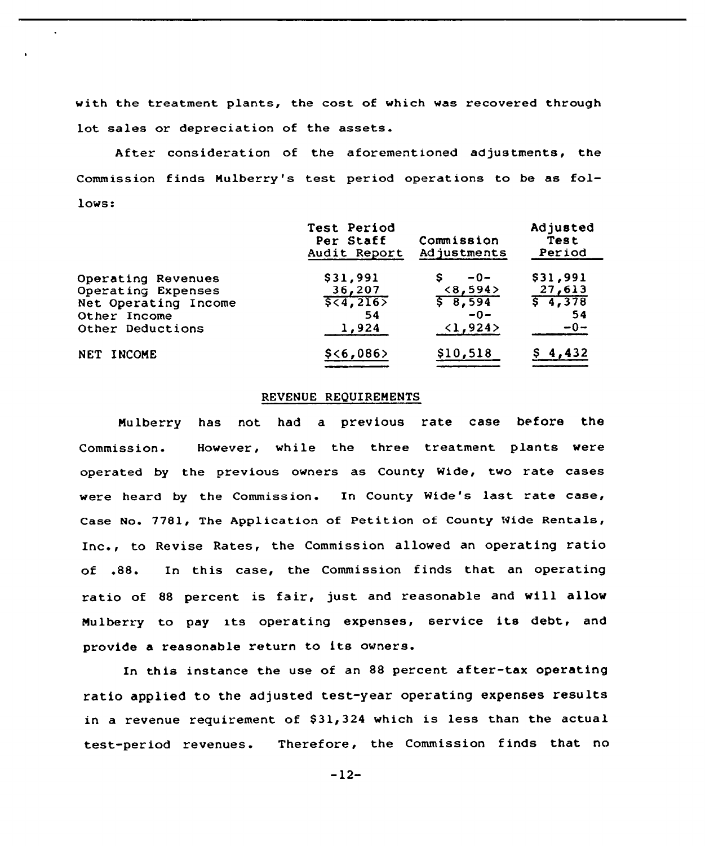with the treatment plants, the cost of which was recovered through lot sales or depreciation of the assets.

After consideration of the aforementioned adjustments, the Commission finds Mulberry's test period operations to be as follows:

|                      | Test Period<br>Per Staff<br>Audit Report | Commission<br>Adjustments | Adjusted<br>Test<br>Period |
|----------------------|------------------------------------------|---------------------------|----------------------------|
| Operating Revenues   | \$31,991                                 | $-0-$<br>s                | \$31,991                   |
| Operating Expenses   | 36,207                                   | <8,594>                   | 27,613                     |
| Net Operating Income | 5,4,216                                  | 58,594                    | 5, 4, 378                  |
| Other Income         | 54                                       | $-0-$                     | 54                         |
| Other Deductions     | 1,924                                    | $\langle 1, 924 \rangle$  | $-0-$                      |
| NET INCOME           | \$ < 6,086                               | \$10,518                  | \$4,432                    |

#### REVENUE REQUIREMENTS

Mulberry has not had a previous rate case before the Commission. However, while the three treatment plants were operated by the previous owners as County Wide, two rate cases were heard by the Commission. In County Wide's last rate case, Case No. 7781, The Application of Petition of County Wide Rentals, Inc., to Revise Rates, the Commission allowed an operating ratio of .88. In this case, the Commission finds that an operating ratio of <sup>88</sup> percent is fair, just and reasonable and will allow Mulberry to pay its operating expenses, service its debt, and provide <sup>a</sup> reasonable return to its owners.

In this instance the use of an 88 percent after-tax operating ratio applied to the adjusted test-year operating expenses results in a revenue requirement of \$31,324 which is less than the actual test-period revenues. Therefore, the Commission finds that no

—12-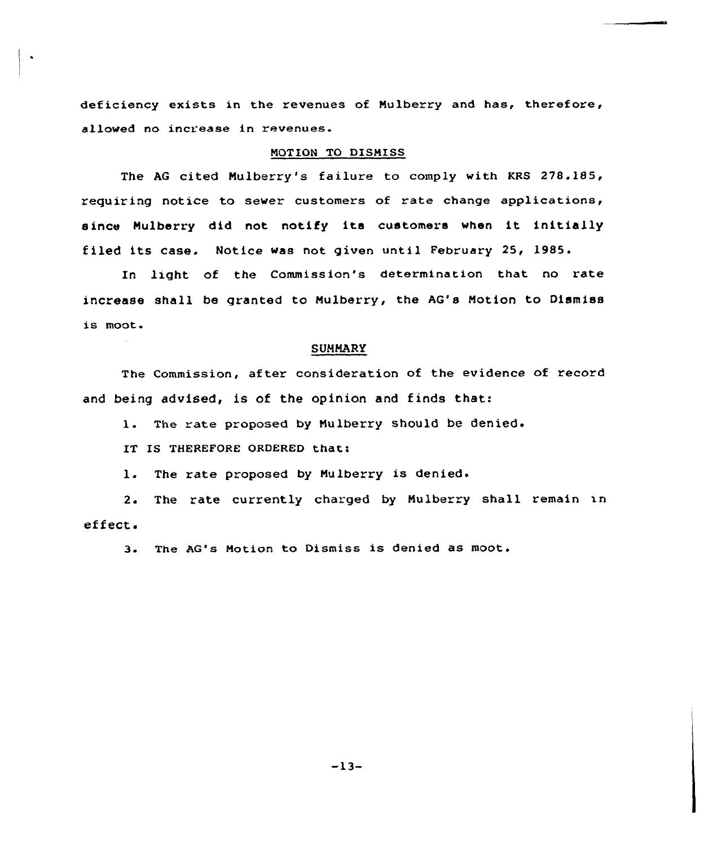deficiency exists in the revenues of Mulberry and has, therefore, allowed no increase in revenues.

# NOTION TO DISMISS

The AG cited Nulberry's failure to comply with KRS 278.185, requiring notice to sever customers of rate change applications, since Nulberry did not notify its customers when it initially filed its case. Notice was not given until February 25, 1985.

In light of the Commission's determination that no rate increase shall be granted to Mulberry, the AG's Motion to Dismiss is moot.

#### SUMMARY

The Commission, after consideration of the evidence of record and being advised, is of the opinion and finds that:

1. The rate proposed by Mulberry should be denied.

IT IS THEREFORE ORDERED that:

1. The rate proposed by Mulberry is denied.

2. The rate currently charged by Mulberry shall remain in effect,.

3. The AG's Motion to Dismiss is denied as moot.

-13-